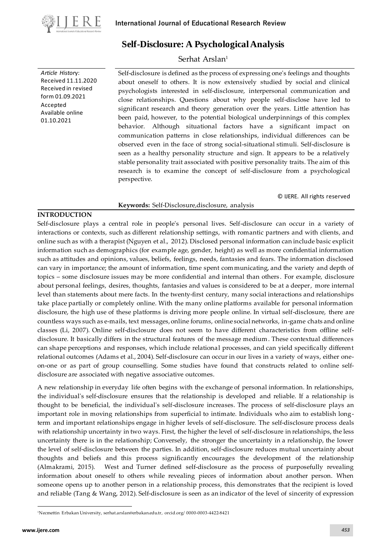

*Article Histor*y: Received 11.11.2020 Received in revised form 01.09.2021 Accepted Available online 01.10.2021

# **Self-Disclosure: A Psychological Analysis**

## Serhat Arslan<sup>1</sup>

Self-disclosure is defined as the process of expressing one's feelings and thoughts about oneself to others. It is now extensively studied by social and clinical psychologists interested in self-disclosure, interpersonal communication and close relationships. Questions about why people self-disclose have led to significant research and theory generation over the years. Little attention has been paid, however, to the potential biological underpinnings of this complex behavior. Although situational factors have a significant impact on communication patterns in close relationships, individual differences can be observed even in the face of strong social-situational stimuli. Self-disclosure is seen as a healthy personality structure and sign. It appears to be a relatively stable personality trait associated with positive personality traits. The aim of this research is to examine the concept of self-disclosure from a psychological perspective.

#### Keywords: Self-Disclosure, disclosure, analysis

© IJERE. All rights reserved

### **INTRODUCTION**

Self-disclosure plays a central role in people's personal lives. Self-disclosure can occur in a variety of interactions or contexts, such as different relationship settings, with romantic partners and with clients, and online such as with a therapist (Nguyen et al., 2012). Disclosed personal information can include basic explicit information such as demographics (for example age, gender, height) as well as more confidential information such as attitudes and opinions, values, beliefs, feelings, needs, fantasies and fears. The information disclosed can vary in importance; the amount of information, time spent communicating, and the variety and depth of topics – some disclosure issues may be more confidential and internal than others . For example, disclosure about personal feelings, desires, thoughts, fantasies and values is considered to be at a deeper, more internal level than statements about mere facts. In the twenty-first century, many social interactions and relationships take place partially or completely online. With the many online platforms available for personal information disclosure, the high use of these platforms is driving more people online. In virtual self-disclosure, there are countless ways such as e-mails, text messages, online forums, online social networks, in-game chats and online classes (Li, 2007). Online self-disclosure does not seem to have different characteristics from offline selfdisclosure. It basically differs in the structural features of the message medium. These contextual differences can shape perceptions and responses, which include relational processes, and can yield specifically different relational outcomes (Adams et al., 2004). Self-disclosure can occur in our lives in a variety of ways, either oneon-one or as part of group counselling. Some studies have found that constructs related to online selfdisclosure are associated with negative associative outcomes.

A new relationship in everyday life often begins with the exchange of personal information. In relationships, the individual's self-disclosure ensures that the relationship is developed and reliable. If a relationship is thought to be beneficial, the individual's self-disclosure increases. The process of self-disclosure plays an important role in moving relationships from superficial to intimate. Individuals who aim to establish longterm and important relationships engage in higher levels of self-disclosure. The self-disclosure process deals with relationship uncertainty in two ways. First, the higher the level of self-disclosure in relationships, the less uncertainty there is in the relationship; Conversely, the stronger the uncertainty in a relationship, the lower the level of self-disclosure between the parties. In addition, self-disclosure reduces mutual uncertainty about thoughts and beliefs and this process significantly encourages the development of the relationship (Almakrami, 2015). West and Turner defined self-disclosure as the process of purposefully revealing information about oneself to others while revealing pieces of information about another person. When someone opens up to another person in a relationship process, this demonstrates that the recipient is loved and reliable (Tang & Wang, 2012). Self-disclosure is seen as an indicator of the level of sincerity of expression

<sup>1</sup>Necmettin Erbakan University[, serhat.arslan@erbakan.edu.tr,](mailto:rashel87@gmail.com) [orcid.org/](https://orcid.org/0000-0002-8497-1212?lang=en) 0000-0003-4422-8421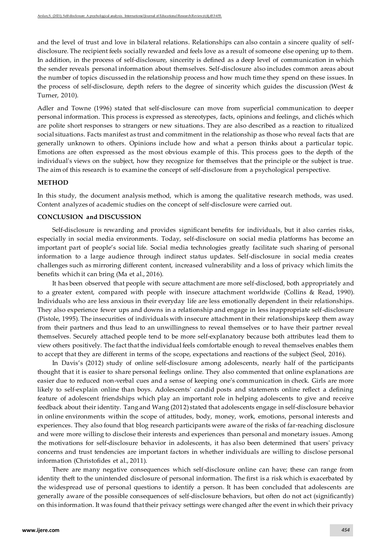and the level of trust and love in bilateral relations. Relationships can also contain a sincere quality of selfdisclosure. The recipient feels socially rewarded and feels love as a result of someone else opening up to them. In addition, in the process of self-disclosure, sincerity is defined as a deep level of communication in which the sender reveals personal information about themselves. Self-disclosure also includes common areas about the number of topics discussed in the relationship process and how much time they spend on these issues. In the process of self-disclosure, depth refers to the degree of sincerity which guides the discussion (West & Turner, 2010).

Adler and Towne (1996) stated that self-disclosure can move from superficial communication to deeper personal information. This process is expressed as stereotypes, facts, opinions and feelings, and clichés which are polite short responses to strangers or new situations. They are also described as a reaction to ritualized social situations. Facts manifest as trust and commitment in the relationship as those who reveal facts that are generally unknown to others. Opinions include how and what a person thinks about a particular topic. Emotions are often expressed as the most obvious example of this. This process goes to the depth of the individual's views on the subject, how they recognize for themselves that the principle or the subject is true. The aim of this research is to examine the concept of self-disclosure from a psychological perspective.

#### **METHOD**

In this study, the document analysis method, which is among the qualitative research methods, was used. Content analyzes of academic studies on the concept of self-disclosure were carried out.

#### **CONCLUSION and DISCUSSION**

Self-disclosure is rewarding and provides significant benefits for individuals, but it also carries risks, especially in social media environments. Today, self-disclosure on social media platforms has become an important part of people's social life. Social media technologies greatly facilitate such sharing of personal information to a large audience through indirect status updates. Self-disclosure in social media creates challenges such as mirroring different content, increased vulnerability and a loss of privacy which limits the benefits which it can bring (Ma et al., 2016).

It has been observed that people with secure attachment are more self-disclosed, both appropriately and to a greater extent, compared with people with insecure attachment worldwide (Collins & Read, 1990). Individuals who are less anxious in their everyday life are less emotionally dependent in their relationships. They also experience fewer ups and downs in a relationship and engage in less inappropriate self-disclosure (Pistole, 1995). The insecurities of individuals with insecure attachment in their relationships keep them away from their partners and thus lead to an unwillingness to reveal themselves or to have their partner reveal themselves. Securely attached people tend to be more self-explanatory because both attributes lead them to view others positively. The fact that the individual feels comfortable enough to reveal themselves enables them to accept that they are different in terms of the scope, expectations and reactions of the subject (Seol, 2016).

In Davis's (2012) study of online self-disclosure among adolescents, nearly half of the participants thought that it is easier to share personal feelings online. They also commented that online explanations are easier due to reduced non-verbal cues and a sense of keeping one's communication in check. Girls are more likely to self-explain online than boys. Adolescents' candid posts and statements online reflect a defining feature of adolescent friendships which play an important role in helping adolescents to give and receive feedback about their identity. Tang and Wang (2012) stated that adolescents engage in self-disclosure behavior in online environments within the scope of attitudes, body, money, work, emotions, personal interests and experiences. They also found that blog research participants were aware of the risks of far-reaching disclosure and were more willing to disclose their interests and experiences than personal and monetary issues. Among the motivations for self-disclosure behavior in adolescents, it has also been determined that users' privacy concerns and trust tendencies are important factors in whether individuals are willing to disclose personal information (Christofides et al., 2011).

There are many negative consequences which self-disclosure online can have; these can range from identity theft to the unintended disclosure of personal information. The first is a risk which is exacerbated by the widespread use of personal questions to identify a person. It has been concluded that adolescents are generally aware of the possible consequences of self-disclosure behaviors, but often do not act (significantly) on this information. It was found that their privacy settings were changed after the event in which their privacy